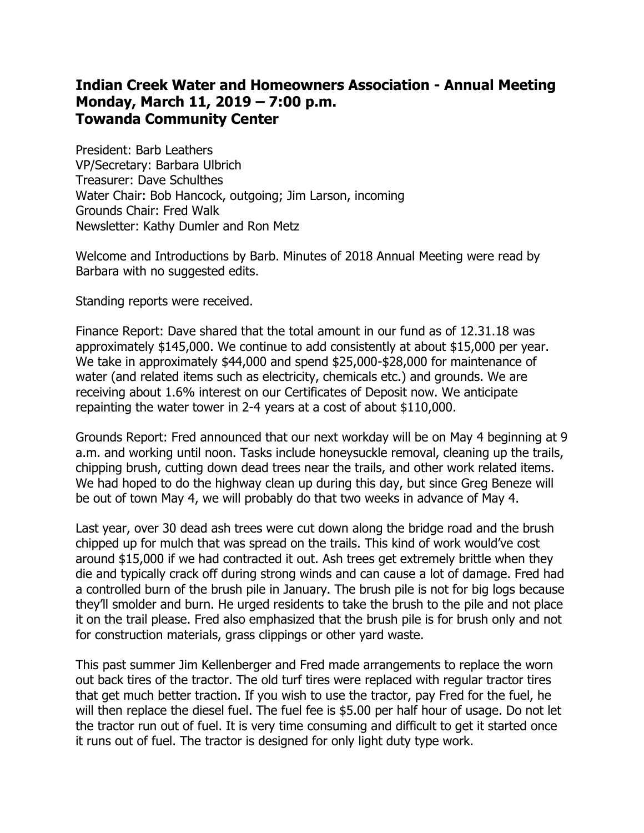## **Indian Creek Water and Homeowners Association - Annual Meeting Monday, March 11, 2019 – 7:00 p.m. Towanda Community Center**

President: Barb Leathers VP/Secretary: Barbara Ulbrich Treasurer: Dave Schulthes Water Chair: Bob Hancock, outgoing; Jim Larson, incoming Grounds Chair: Fred Walk Newsletter: Kathy Dumler and Ron Metz

Welcome and Introductions by Barb. Minutes of 2018 Annual Meeting were read by Barbara with no suggested edits.

Standing reports were received.

Finance Report: Dave shared that the total amount in our fund as of 12.31.18 was approximately \$145,000. We continue to add consistently at about \$15,000 per year. We take in approximately \$44,000 and spend \$25,000-\$28,000 for maintenance of water (and related items such as electricity, chemicals etc.) and grounds. We are receiving about 1.6% interest on our Certificates of Deposit now. We anticipate repainting the water tower in 2-4 years at a cost of about \$110,000.

Grounds Report: Fred announced that our next workday will be on May 4 beginning at 9 a.m. and working until noon. Tasks include honeysuckle removal, cleaning up the trails, chipping brush, cutting down dead trees near the trails, and other work related items. We had hoped to do the highway clean up during this day, but since Greg Beneze will be out of town May 4, we will probably do that two weeks in advance of May 4.

Last year, over 30 dead ash trees were cut down along the bridge road and the brush chipped up for mulch that was spread on the trails. This kind of work would've cost around \$15,000 if we had contracted it out. Ash trees get extremely brittle when they die and typically crack off during strong winds and can cause a lot of damage. Fred had a controlled burn of the brush pile in January. The brush pile is not for big logs because they'll smolder and burn. He urged residents to take the brush to the pile and not place it on the trail please. Fred also emphasized that the brush pile is for brush only and not for construction materials, grass clippings or other yard waste.

This past summer Jim Kellenberger and Fred made arrangements to replace the worn out back tires of the tractor. The old turf tires were replaced with regular tractor tires that get much better traction. If you wish to use the tractor, pay Fred for the fuel, he will then replace the diesel fuel. The fuel fee is \$5.00 per half hour of usage. Do not let the tractor run out of fuel. It is very time consuming and difficult to get it started once it runs out of fuel. The tractor is designed for only light duty type work.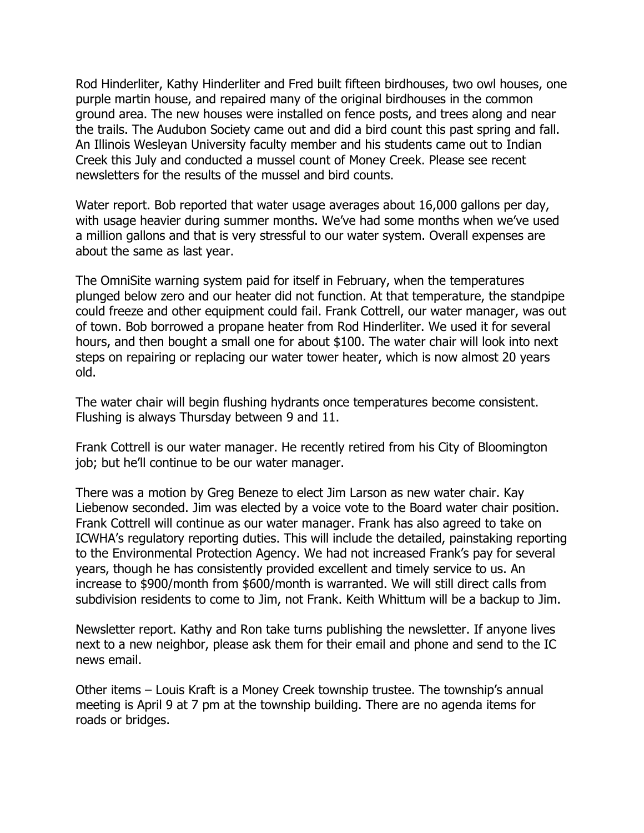Rod Hinderliter, Kathy Hinderliter and Fred built fifteen birdhouses, two owl houses, one purple martin house, and repaired many of the original birdhouses in the common ground area. The new houses were installed on fence posts, and trees along and near the trails. The Audubon Society came out and did a bird count this past spring and fall. An Illinois Wesleyan University faculty member and his students came out to Indian Creek this July and conducted a mussel count of Money Creek. Please see recent newsletters for the results of the mussel and bird counts.

Water report. Bob reported that water usage averages about 16,000 gallons per day, with usage heavier during summer months. We've had some months when we've used a million gallons and that is very stressful to our water system. Overall expenses are about the same as last year.

The OmniSite warning system paid for itself in February, when the temperatures plunged below zero and our heater did not function. At that temperature, the standpipe could freeze and other equipment could fail. Frank Cottrell, our water manager, was out of town. Bob borrowed a propane heater from Rod Hinderliter. We used it for several hours, and then bought a small one for about \$100. The water chair will look into next steps on repairing or replacing our water tower heater, which is now almost 20 years old.

The water chair will begin flushing hydrants once temperatures become consistent. Flushing is always Thursday between 9 and 11.

Frank Cottrell is our water manager. He recently retired from his City of Bloomington job; but he'll continue to be our water manager.

There was a motion by Greg Beneze to elect Jim Larson as new water chair. Kay Liebenow seconded. Jim was elected by a voice vote to the Board water chair position. Frank Cottrell will continue as our water manager. Frank has also agreed to take on ICWHA's regulatory reporting duties. This will include the detailed, painstaking reporting to the Environmental Protection Agency. We had not increased Frank's pay for several years, though he has consistently provided excellent and timely service to us. An increase to \$900/month from \$600/month is warranted. We will still direct calls from subdivision residents to come to Jim, not Frank. Keith Whittum will be a backup to Jim.

Newsletter report. Kathy and Ron take turns publishing the newsletter. If anyone lives next to a new neighbor, please ask them for their email and phone and send to the IC news email.

Other items – Louis Kraft is a Money Creek township trustee. The township's annual meeting is April 9 at 7 pm at the township building. There are no agenda items for roads or bridges.